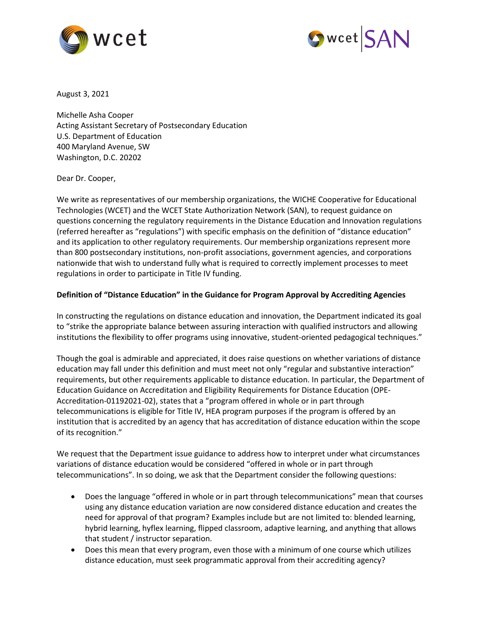



August 3, 2021

Michelle Asha Cooper Acting Assistant Secretary of Postsecondary Education U.S. Department of Education 400 Maryland Avenue, SW Washington, D.C. 20202

Dear Dr. Cooper,

We write as representatives of our membership organizations, the WICHE Cooperative for Educational Technologies (WCET) and the WCET State Authorization Network (SAN), to request guidance on questions concerning the regulatory requirements in the Distance Education and Innovation regulations (referred hereafter as "regulations") with specific emphasis on the definition of "distance education" and its application to other regulatory requirements. Our membership organizations represent more than 800 postsecondary institutions, non-profit associations, government agencies, and corporations nationwide that wish to understand fully what is required to correctly implement processes to meet regulations in order to participate in Title IV funding.

## **Definition of "Distance Education" in the Guidance for Program Approval by Accrediting Agencies**

In constructing the regulations on distance education and innovation, the Department indicated its goal to "strike the appropriate balance between assuring interaction with qualified instructors and allowing institutions the flexibility to offer programs using innovative, student-oriented pedagogical techniques."

Though the goal is admirable and appreciated, it does raise questions on whether variations of distance education may fall under this definition and must meet not only "regular and substantive interaction" requirements, but other requirements applicable to distance education. In particular, the Department of Education Guidance on Accreditation and Eligibility Requirements for Distance Education (OPE-Accreditation-01192021-02), states that a "program offered in whole or in part through telecommunications is eligible for Title IV, HEA program purposes if the program is offered by an institution that is accredited by an agency that has accreditation of distance education within the scope of its recognition."

We request that the Department issue guidance to address how to interpret under what circumstances variations of distance education would be considered "offered in whole or in part through telecommunications". In so doing, we ask that the Department consider the following questions:

- Does the language "offered in whole or in part through telecommunications" mean that courses using any distance education variation are now considered distance education and creates the need for approval of that program? Examples include but are not limited to: blended learning, hybrid learning, hyflex learning, flipped classroom, adaptive learning, and anything that allows that student / instructor separation.
- Does this mean that every program, even those with a minimum of one course which utilizes distance education, must seek programmatic approval from their accrediting agency?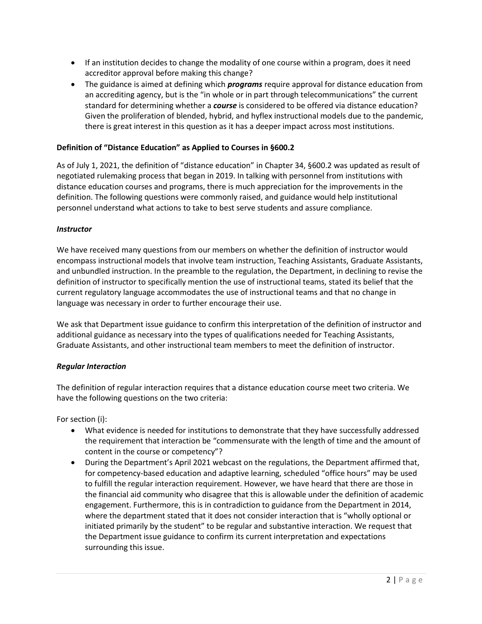- If an institution decides to change the modality of one course within a program, does it need accreditor approval before making this change?
- The guidance is aimed at defining which *programs* require approval for distance education from an accrediting agency, but is the "in whole or in part through telecommunications" the current standard for determining whether a *course* is considered to be offered via distance education? Given the proliferation of blended, hybrid, and hyflex instructional models due to the pandemic, there is great interest in this question as it has a deeper impact across most institutions.

# **Definition of "Distance Education" as Applied to Courses in [§6](https://www.ecfr.gov/cgi-bin/text-idx?SID=e0999d23ca2bd491950f109ebcd507ca&mc=true&node=se34.3.600_12&rgn=div8)00.2**

As of July 1, 2021, the definition of "distance education" in Chapter 34, [§6](https://www.ecfr.gov/cgi-bin/text-idx?SID=e0999d23ca2bd491950f109ebcd507ca&mc=true&node=se34.3.600_12&rgn=div8)00.2 was updated as result of negotiated rulemaking process that began in 2019. In talking with personnel from institutions with distance education courses and programs, there is much appreciation for the improvements in the definition. The following questions were commonly raised, and guidance would help institutional personnel understand what actions to take to best serve students and assure compliance.

## *Instructor*

We have received many questions from our members on whether the definition of instructor would encompass instructional models that involve team instruction, Teaching Assistants, Graduate Assistants, and unbundled instruction. In the preamble to the regulation, the Department, in declining to revise the definition of instructor to specifically mention the use of instructional teams, stated its belief that the current regulatory language accommodates the use of instructional teams and that no change in language was necessary in order to further encourage their use.

We ask that Department issue guidance to confirm this interpretation of the definition of instructor and additional guidance as necessary into the types of qualifications needed for Teaching Assistants, Graduate Assistants, and other instructional team members to meet the definition of instructor.

## *Regular Interaction*

The definition of regular interaction requires that a distance education course meet two criteria. We have the following questions on the two criteria:

For section (i):

- What evidence is needed for institutions to demonstrate that they have successfully addressed the requirement that interaction be "commensurate with the length of time and the amount of content in the course or competency"?
- During the Department's April 2021 webcast on the regulations, the Department affirmed that, for competency-based education and adaptive learning, scheduled "office hours" may be used to fulfill the regular interaction requirement. However, we have heard that there are those in the financial aid community who disagree that this is allowable under the definition of academic engagement. Furthermore, this is in contradiction to guidance from the Department in 2014, where the department stated that it does not consider interaction that is "wholly optional or initiated primarily by the student" to be regular and substantive interaction. We request that the Department issue guidance to confirm its current interpretation and expectations surrounding this issue.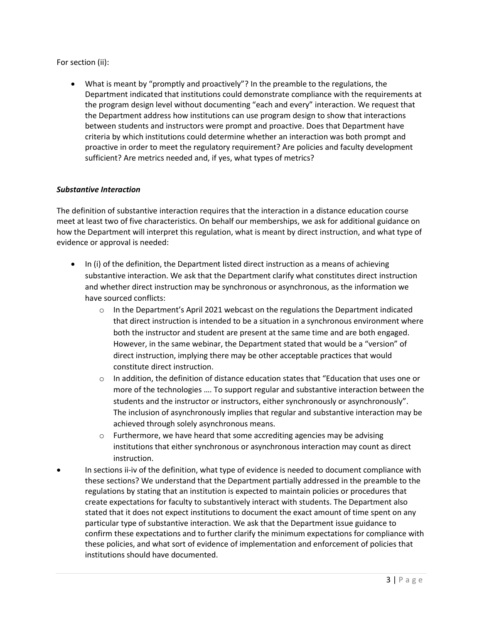For section (ii):

• What is meant by "promptly and proactively"? In the preamble to the regulations, the Department indicated that institutions could demonstrate compliance with the requirements at the program design level without documenting "each and every" interaction. We request that the Department address how institutions can use program design to show that interactions between students and instructors were prompt and proactive. Does that Department have criteria by which institutions could determine whether an interaction was both prompt and proactive in order to meet the regulatory requirement? Are policies and faculty development sufficient? Are metrics needed and, if yes, what types of metrics?

# *Substantive Interaction*

The definition of substantive interaction requires that the interaction in a distance education course meet at least two of five characteristics. On behalf our memberships, we ask for additional guidance on how the Department will interpret this regulation, what is meant by direct instruction, and what type of evidence or approval is needed:

- In (i) of the definition, the Department listed direct instruction as a means of achieving substantive interaction. We ask that the Department clarify what constitutes direct instruction and whether direct instruction may be synchronous or asynchronous, as the information we have sourced conflicts:
	- $\circ$  In the Department's April 2021 webcast on the regulations the Department indicated that direct instruction is intended to be a situation in a synchronous environment where both the instructor and student are present at the same time and are both engaged. However, in the same webinar, the Department stated that would be a "version" of direct instruction, implying there may be other acceptable practices that would constitute direct instruction.
	- $\circ$  In addition, the definition of distance education states that "Education that uses one or more of the technologies …. To support regular and substantive interaction between the students and the instructor or instructors, either synchronously or asynchronously". The inclusion of asynchronously implies that regular and substantive interaction may be achieved through solely asynchronous means.
	- $\circ$  Furthermore, we have heard that some accrediting agencies may be advising institutions that either synchronous or asynchronous interaction may count as direct instruction.
- In sections ii-iv of the definition, what type of evidence is needed to document compliance with these sections? We understand that the Department partially addressed in the preamble to the regulations by stating that an institution is expected to maintain policies or procedures that create expectations for faculty to substantively interact with students. The Department also stated that it does not expect institutions to document the exact amount of time spent on any particular type of substantive interaction. We ask that the Department issue guidance to confirm these expectations and to further clarify the minimum expectations for compliance with these policies, and what sort of evidence of implementation and enforcement of policies that institutions should have documented.